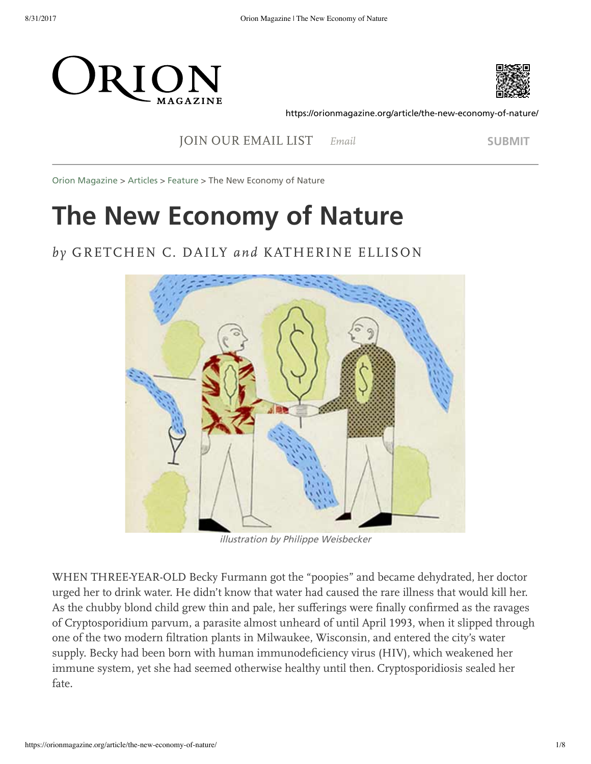



https://orionmagazine.org/article/the‐new‐economy‐of‐nature/

**JOIN OUR EMAIL LIST** *Email* **SUBMIT** 

Orion [Magazine](https://orionmagazine.org/) > [Articles](https://orionmagazine.org/article/) > [Feature](https://orionmagazine.org/category/feature/?post_type=article) > The New Economy of Nature

## **The New Economy of Nature**

by GRETCHEN C. DAILY and KATHERINE ELLISON



illustration by Philippe Weisbecker

WHEN THREE-YEAR-OLD Becky Furmann got the "poopies" and became dehydrated, her doctor urged her to drink water. He didn't know that water had caused the rare illness that would kill her. As the chubby blond child grew thin and pale, her sufferings were finally confirmed as the ravages of Cryptosporidium parvum, a parasite almost unheard of until April 1993, when it slipped through one of the two modern filtration plants in Milwaukee, Wisconsin, and entered the city's water supply. Becky had been born with human immunodeficiency virus (HIV), which weakened her immune system, yet she had seemed otherwise healthy until then. Cryptosporidiosis sealed her fate.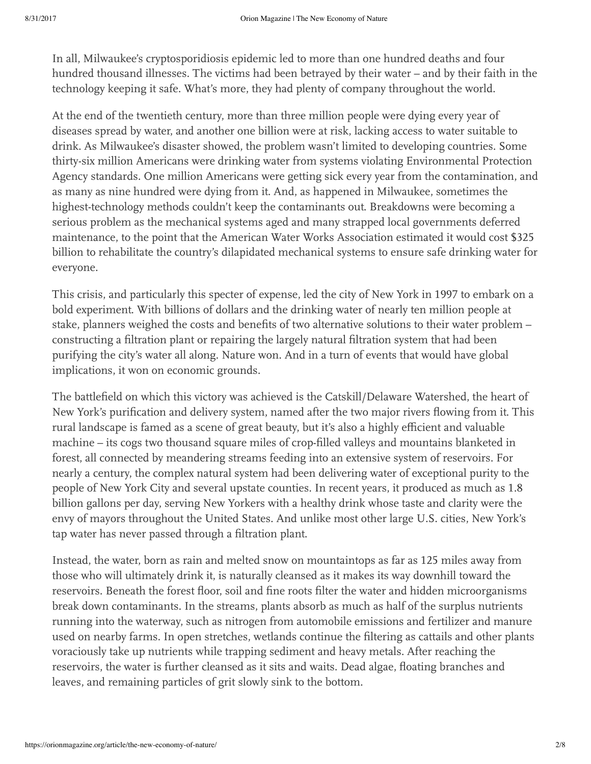In all, Milwaukee's cryptosporidiosis epidemic led to more than one hundred deaths and four hundred thousand illnesses. The victims had been betrayed by their water – and by their faith in the technology keeping it safe. What's more, they had plenty of company throughout the world.

At the end of the twentieth century, more than three million people were dying every year of diseases spread by water, and another one billion were at risk, lacking access to water suitable to drink. As Milwaukee's disaster showed, the problem wasn't limited to developing countries. Some thirty-six million Americans were drinking water from systems violating Environmental Protection Agency standards. One million Americans were getting sick every year from the contamination, and as many as nine hundred were dying from it. And, as happened in Milwaukee, sometimes the highest-technology methods couldn't keep the contaminants out. Breakdowns were becoming a serious problem as the mechanical systems aged and many strapped local governments deferred maintenance, to the point that the American Water Works Association estimated it would cost \$325 billion to rehabilitate the country's dilapidated mechanical systems to ensure safe drinking water for everyone.

This crisis, and particularly this specter of expense, led the city of New York in 1997 to embark on a bold experiment. With billions of dollars and the drinking water of nearly ten million people at stake, planners weighed the costs and benefits of two alternative solutions to their water problem – constructing a filtration plant or repairing the largely natural filtration system that had been purifying the city's water all along. Nature won. And in a turn of events that would have global implications, it won on economic grounds.

The battlefield on which this victory was achieved is the Catskill/Delaware Watershed, the heart of New York's purification and delivery system, named after the two major rivers flowing from it. This rural landscape is famed as a scene of great beauty, but it's also a highly efficient and valuable machine – its cogs two thousand square miles of crop-filled valleys and mountains blanketed in forest, all connected by meandering streams feeding into an extensive system of reservoirs. For nearly a century, the complex natural system had been delivering water of exceptional purity to the people of New York City and several upstate counties. In recent years, it produced as much as 1.8 billion gallons per day, serving New Yorkers with a healthy drink whose taste and clarity were the envy of mayors throughout the United States. And unlike most other large U.S. cities, New York's tap water has never passed through a filtration plant.

Instead, the water, born as rain and melted snow on mountaintops as far as 125 miles away from those who will ultimately drink it, is naturally cleansed as it makes its way downhill toward the reservoirs. Beneath the forest floor, soil and fine roots filter the water and hidden microorganisms break down contaminants. In the streams, plants absorb as much as half of the surplus nutrients running into the waterway, such as nitrogen from automobile emissions and fertilizer and manure used on nearby farms. In open stretches, wetlands continue the filtering as cattails and other plants voraciously take up nutrients while trapping sediment and heavy metals. After reaching the reservoirs, the water is further cleansed as it sits and waits. Dead algae, floating branches and leaves, and remaining particles of grit slowly sink to the bottom.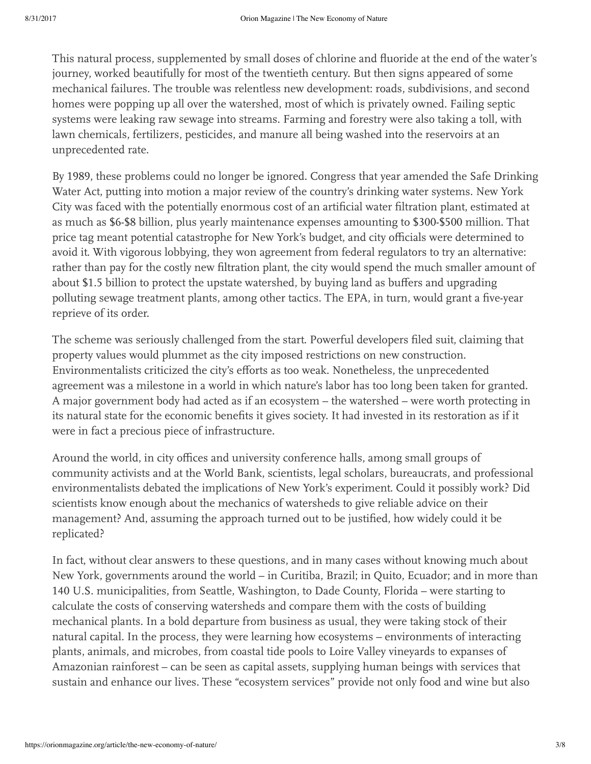This natural process, supplemented by small doses of chlorine and fluoride at the end of the water's journey, worked beautifully for most of the twentieth century. But then signs appeared of some mechanical failures. The trouble was relentless new development: roads, subdivisions, and second homes were popping up all over the watershed, most of which is privately owned. Failing septic systems were leaking raw sewage into streams. Farming and forestry were also taking a toll, with lawn chemicals, fertilizers, pesticides, and manure all being washed into the reservoirs at an unprecedented rate.

By 1989, these problems could no longer be ignored. Congress that year amended the Safe Drinking Water Act, putting into motion a major review of the country's drinking water systems. New York City was faced with the potentially enormous cost of an artificial water filtration plant, estimated at as much as \$6-\$8 billion, plus yearly maintenance expenses amounting to \$300-\$500 million. That price tag meant potential catastrophe for New York's budget, and city officials were determined to avoid it. With vigorous lobbying, they won agreement from federal regulators to try an alternative: rather than pay for the costly new filtration plant, the city would spend the much smaller amount of about \$1.5 billion to protect the upstate watershed, by buying land as buffers and upgrading polluting sewage treatment plants, among other tactics. The EPA, in turn, would grant a five-year reprieve of its order.

The scheme was seriously challenged from the start. Powerful developers filed suit, claiming that property values would plummet as the city imposed restrictions on new construction. Environmentalists criticized the city's efforts as too weak. Nonetheless, the unprecedented agreement was a milestone in a world in which nature's labor has too long been taken for granted. A major government body had acted as if an ecosystem – the watershed – were worth protecting in its natural state for the economic benefits it gives society. It had invested in its restoration as if it were in fact a precious piece of infrastructure.

Around the world, in city offices and university conference halls, among small groups of community activists and at the World Bank, scientists, legal scholars, bureaucrats, and professional environmentalists debated the implications of New York's experiment. Could it possibly work? Did scientists know enough about the mechanics of watersheds to give reliable advice on their management? And, assuming the approach turned out to be justified, how widely could it be replicated?

In fact, without clear answers to these questions, and in many cases without knowing much about New York, governments around the world – in Curitiba, Brazil; in Quito, Ecuador; and in more than 140 U.S. municipalities, from Seattle, Washington, to Dade County, Florida – were starting to calculate the costs of conserving watersheds and compare them with the costs of building mechanical plants. In a bold departure from business as usual, they were taking stock of their natural capital. In the process, they were learning how ecosystems – environments of interacting plants, animals, and microbes, from coastal tide pools to Loire Valley vineyards to expanses of Amazonian rainforest – can be seen as capital assets, supplying human beings with services that sustain and enhance our lives. These "ecosystem services" provide not only food and wine but also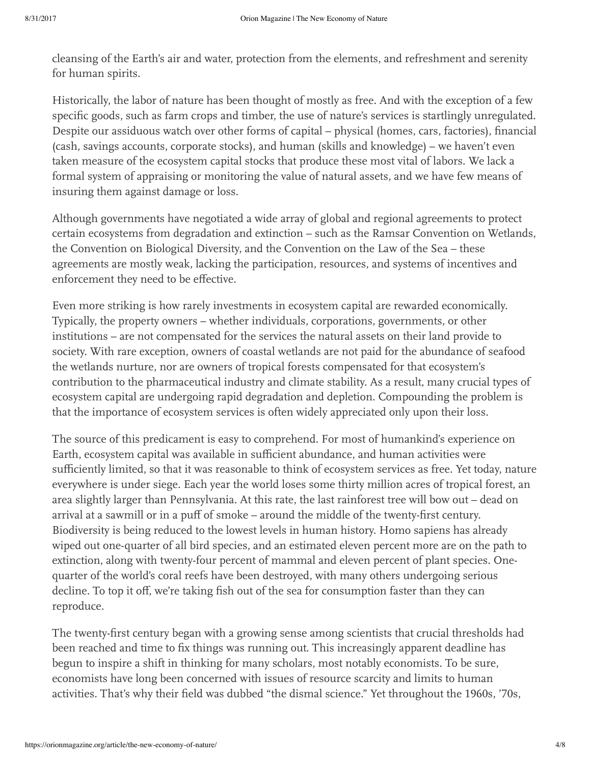cleansing of the Earth's air and water, protection from the elements, and refreshment and serenity for human spirits.

Historically, the labor of nature has been thought of mostly as free. And with the exception of a few specific goods, such as farm crops and timber, the use of nature's services is startlingly unregulated. Despite our assiduous watch over other forms of capital – physical (homes, cars, factories), financial (cash, savings accounts, corporate stocks), and human (skills and knowledge) – we haven't even taken measure of the ecosystem capital stocks that produce these most vital of labors. We lack a formal system of appraising or monitoring the value of natural assets, and we have few means of insuring them against damage or loss.

Although governments have negotiated a wide array of global and regional agreements to protect certain ecosystems from degradation and extinction – such as the Ramsar Convention on Wetlands, the Convention on Biological Diversity, and the Convention on the Law of the Sea – these agreements are mostly weak, lacking the participation, resources, and systems of incentives and enforcement they need to be effective.

Even more striking is how rarely investments in ecosystem capital are rewarded economically. Typically, the property owners – whether individuals, corporations, governments, or other institutions – are not compensated for the services the natural assets on their land provide to society. With rare exception, owners of coastal wetlands are not paid for the abundance of seafood the wetlands nurture, nor are owners of tropical forests compensated for that ecosystem's contribution to the pharmaceutical industry and climate stability. As a result, many crucial types of ecosystem capital are undergoing rapid degradation and depletion. Compounding the problem is that the importance of ecosystem services is often widely appreciated only upon their loss.

The source of this predicament is easy to comprehend. For most of humankind's experience on Earth, ecosystem capital was available in sufficient abundance, and human activities were sufficiently limited, so that it was reasonable to think of ecosystem services as free. Yet today, nature everywhere is under siege. Each year the world loses some thirty million acres of tropical forest, an area slightly larger than Pennsylvania. At this rate, the last rainforest tree will bow out – dead on arrival at a sawmill or in a puff of smoke – around the middle of the twenty-first century. Biodiversity is being reduced to the lowest levels in human history. Homo sapiens has already wiped out one-quarter of all bird species, and an estimated eleven percent more are on the path to extinction, along with twenty-four percent of mammal and eleven percent of plant species. Onequarter of the world's coral reefs have been destroyed, with many others undergoing serious decline. To top it off, we're taking fish out of the sea for consumption faster than they can reproduce.

The twenty-first century began with a growing sense among scientists that crucial thresholds had been reached and time to fix things was running out. This increasingly apparent deadline has begun to inspire a shift in thinking for many scholars, most notably economists. To be sure, economists have long been concerned with issues of resource scarcity and limits to human activities. That's why their field was dubbed "the dismal science." Yet throughout the 1960s, '70s,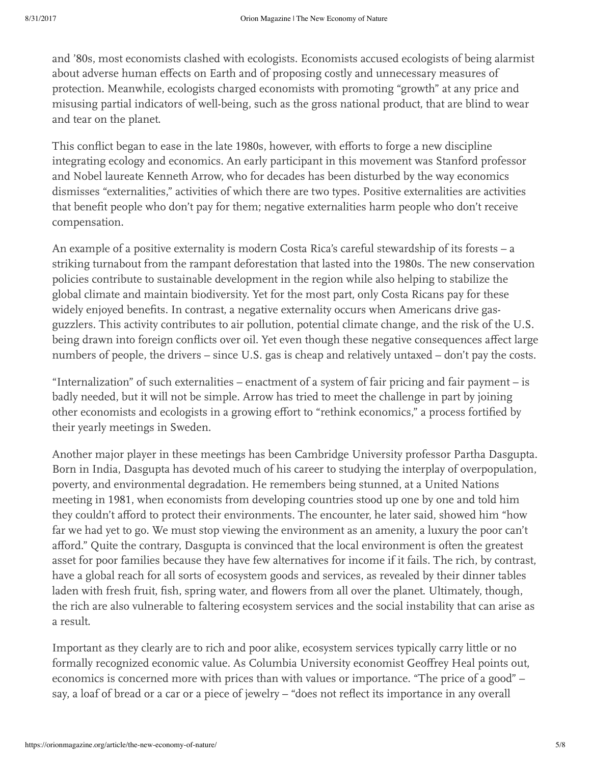and '80s, most economists clashed with ecologists. Economists accused ecologists of being alarmist about adverse human effects on Earth and of proposing costly and unnecessary measures of protection. Meanwhile, ecologists charged economists with promoting "growth" at any price and misusing partial indicators of well-being, such as the gross national product, that are blind to wear and tear on the planet.

This conflict began to ease in the late 1980s, however, with efforts to forge a new discipline integrating ecology and economics. An early participant in this movement was Stanford professor and Nobel laureate Kenneth Arrow, who for decades has been disturbed by the way economics dismisses "externalities," activities of which there are two types. Positive externalities are activities that benefit people who don't pay for them; negative externalities harm people who don't receive compensation.

An example of a positive externality is modern Costa Rica's careful stewardship of its forests – a striking turnabout from the rampant deforestation that lasted into the 1980s. The new conservation policies contribute to sustainable development in the region while also helping to stabilize the global climate and maintain biodiversity. Yet for the most part, only Costa Ricans pay for these widely enjoyed benefits. In contrast, a negative externality occurs when Americans drive gasguzzlers. This activity contributes to air pollution, potential climate change, and the risk of the U.S. being drawn into foreign conflicts over oil. Yet even though these negative consequences affect large numbers of people, the drivers – since U.S. gas is cheap and relatively untaxed – don't pay the costs.

"Internalization" of such externalities – enactment of a system of fair pricing and fair payment – is badly needed, but it will not be simple. Arrow has tried to meet the challenge in part by joining other economists and ecologists in a growing effort to "rethink economics," a process fortified by their yearly meetings in Sweden.

Another major player in these meetings has been Cambridge University professor Partha Dasgupta. Born in India, Dasgupta has devoted much of his career to studying the interplay of overpopulation, poverty, and environmental degradation. He remembers being stunned, at a United Nations meeting in 1981, when economists from developing countries stood up one by one and told him they couldn't afford to protect their environments. The encounter, he later said, showed him "how far we had yet to go. We must stop viewing the environment as an amenity, a luxury the poor can't afford." Quite the contrary, Dasgupta is convinced that the local environment is often the greatest asset for poor families because they have few alternatives for income if it fails. The rich, by contrast, have a global reach for all sorts of ecosystem goods and services, as revealed by their dinner tables laden with fresh fruit, fish, spring water, and flowers from all over the planet. Ultimately, though, the rich are also vulnerable to faltering ecosystem services and the social instability that can arise as a result.

Important as they clearly are to rich and poor alike, ecosystem services typically carry little or no formally recognized economic value. As Columbia University economist Geoffrey Heal points out, economics is concerned more with prices than with values or importance. "The price of a good" – say, a loaf of bread or a car or a piece of jewelry – "does not reflect its importance in any overall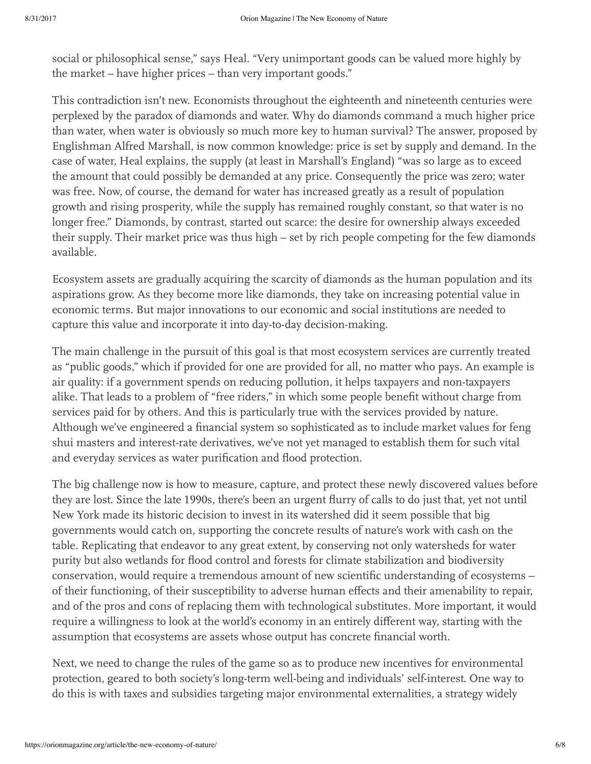social or philosophical sense," says Heal. "Very unimportant goods can be valued more highly by the market – have higher prices – than very important goods."

This contradiction isn't new. Economists throughout the eighteenth and nineteenth centuries were perplexed by the paradox of diamonds and water. Why do diamonds command a much higher price than water, when water is obviously so much more key to human survival? The answer, proposed by Englishman Alfred Marshall, is now common knowledge: price is set by supply and demand. In the case of water, Heal explains, the supply (at least in Marshall's England) "was so large as to exceed the amount that could possibly be demanded at any price. Consequently the price was zero; water was free. Now, of course, the demand for water has increased greatly as a result of population growth and rising prosperity, while the supply has remained roughly constant, so that water is no longer free." Diamonds, by contrast, started out scarce: the desire for ownership always exceeded their supply. Their market price was thus high – set by rich people competing for the few diamonds available.

Ecosystem assets are gradually acquiring the scarcity of diamonds as the human population and its aspirations grow. As they become more like diamonds, they take on increasing potential value in economic terms. But major innovations to our economic and social institutions are needed to capture this value and incorporate it into day-to-day decision-making.

The main challenge in the pursuit of this goal is that most ecosystem services are currently treated as "public goods," which if provided for one are provided for all, no matter who pays. An example is air quality: if a government spends on reducing pollution, it helps taxpayers and non-taxpayers alike. That leads to a problem of "free riders," in which some people benefit without charge from services paid for by others. And this is particularly true with the services provided by nature. Although we've engineered a financial system so sophisticated as to include market values for feng shui masters and interest-rate derivatives, we've not yet managed to establish them for such vital and everyday services as water purification and flood protection.

The big challenge now is how to measure, capture, and protect these newly discovered values before they are lost. Since the late 1990s, there's been an urgent flurry of calls to do just that, yet not until New York made its historic decision to invest in its watershed did it seem possible that big governments would catch on, supporting the concrete results of nature's work with cash on the table. Replicating that endeavor to any great extent, by conserving not only watersheds for water purity but also wetlands for flood control and forests for climate stabilization and biodiversity conservation, would require a tremendous amount of new scientific understanding of ecosystems – of their functioning, of their susceptibility to adverse human effects and their amenability to repair, and of the pros and cons of replacing them with technological substitutes. More important, it would require a willingness to look at the world's economy in an entirely different way, starting with the assumption that ecosystems are assets whose output has concrete financial worth.

Next, we need to change the rules of the game so as to produce new incentives for environmental protection, geared to both society's long-term well-being and individuals' self-interest. One way to do this is with taxes and subsidies targeting major environmental externalities, a strategy widely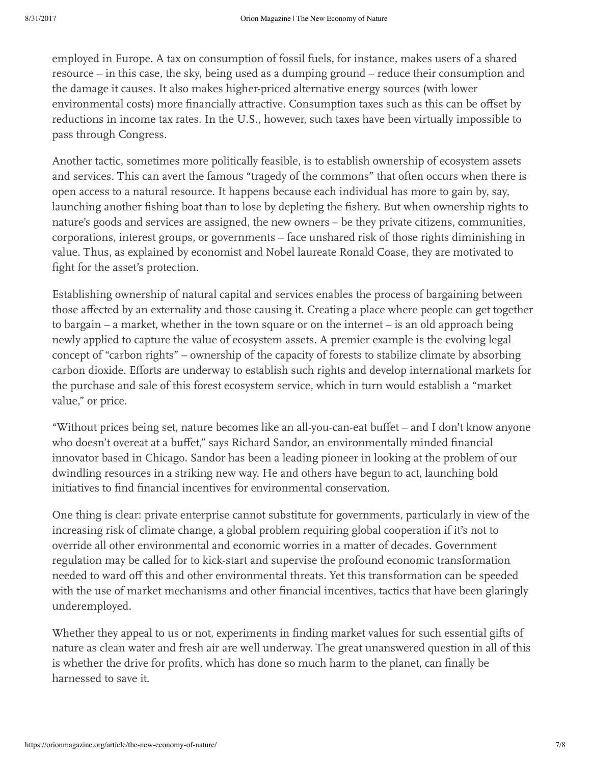employed in Europe. A tax on consumption of fossil fuels, for instance, makes users of a shared resource – in this case, the sky, being used as a dumping ground – reduce their consumption and the damage it causes. It also makes higher-priced alternative energy sources (with lower environmental costs) more financially attractive. Consumption taxes such as this can be offset by reductions in income tax rates. In the U.S., however, such taxes have been virtually impossible to pass through Congress.

Another tactic, sometimes more politically feasible, is to establish ownership of ecosystem assets and services. This can avert the famous "tragedy of the commons" that often occurs when there is open access to a natural resource. It happens because each individual has more to gain by, say, launching another fishing boat than to lose by depleting the fishery. But when ownership rights to nature's goods and services are assigned, the new owners – be they private citizens, communities, corporations, interest groups, or governments – face unshared risk of those rights diminishing in value. Thus, as explained by economist and Nobel laureate Ronald Coase, they are motivated to fight for the asset's protection.

Establishing ownership of natural capital and services enables the process of bargaining between those affected by an externality and those causing it. Creating a place where people can get together to bargain – a market, whether in the town square or on the internet – is an old approach being newly applied to capture the value of ecosystem assets. A premier example is the evolving legal concept of "carbon rights" – ownership of the capacity of forests to stabilize climate by absorbing carbon dioxide. Efforts are underway to establish such rights and develop international markets for the purchase and sale of this forest ecosystem service, which in turn would establish a "market value," or price.

"Without prices being set, nature becomes like an all-you-can-eat buffet – and I don't know anyone who doesn't overeat at a buffet," says Richard Sandor, an environmentally minded financial innovator based in Chicago. Sandor has been a leading pioneer in looking at the problem of our dwindling resources in a striking new way. He and others have begun to act, launching bold initiatives to find financial incentives for environmental conservation.

One thing is clear: private enterprise cannot substitute for governments, particularly in view of the increasing risk of climate change, a global problem requiring global cooperation if it's not to override all other environmental and economic worries in a matter of decades. Government regulation may be called for to kick-start and supervise the profound economic transformation needed to ward off this and other environmental threats. Yet this transformation can be speeded with the use of market mechanisms and other financial incentives, tactics that have been glaringly underemployed.

Whether they appeal to us or not, experiments in finding market values for such essential gifts of nature as clean water and fresh air are well underway. The great unanswered question in all of this is whether the drive for profits, which has done so much harm to the planet, can finally be harnessed to save it.